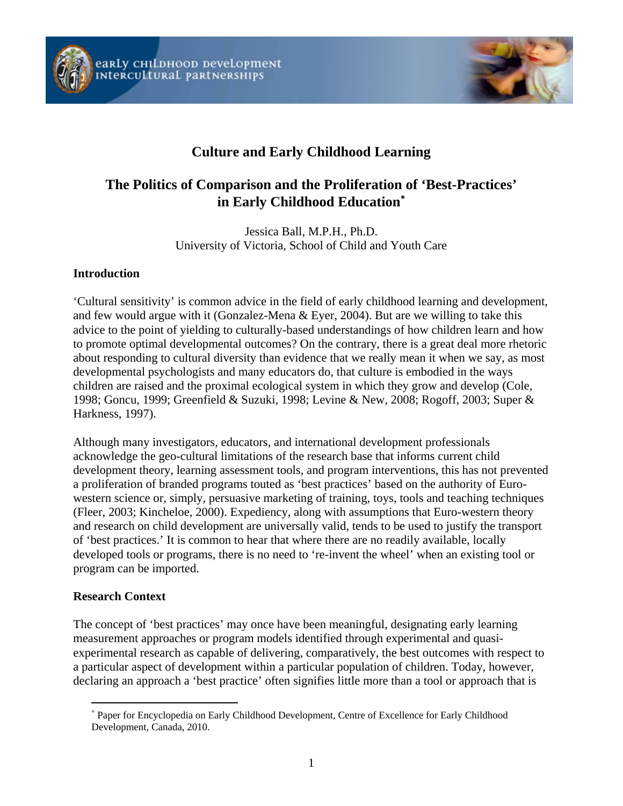



# **Culture and Early Childhood Learning**

# **The Politics of Comparison and the Proliferation of 'Best-Practices' in Early Childhood Education**<sup>∗</sup>

Jessica Ball, M.P.H., Ph.D. University of Victoria, School of Child and Youth Care

#### **Introduction**

'Cultural sensitivity' is common advice in the field of early childhood learning and development, and few would argue with it (Gonzalez-Mena & Eyer, 2004). But are we willing to take this advice to the point of yielding to culturally-based understandings of how children learn and how to promote optimal developmental outcomes? On the contrary, there is a great deal more rhetoric about responding to cultural diversity than evidence that we really mean it when we say, as most developmental psychologists and many educators do, that culture is embodied in the ways children are raised and the proximal ecological system in which they grow and develop (Cole, 1998; Goncu, 1999; Greenfield & Suzuki, 1998; Levine & New, 2008; Rogoff, 2003; Super & Harkness, 1997).

Although many investigators, educators, and international development professionals acknowledge the geo-cultural limitations of the research base that informs current child development theory, learning assessment tools, and program interventions, this has not prevented a proliferation of branded programs touted as 'best practices' based on the authority of Eurowestern science or, simply, persuasive marketing of training, toys, tools and teaching techniques (Fleer, 2003; Kincheloe, 2000). Expediency, along with assumptions that Euro-western theory and research on child development are universally valid, tends to be used to justify the transport of 'best practices.' It is common to hear that where there are no readily available, locally developed tools or programs, there is no need to 're-invent the wheel' when an existing tool or program can be imported.

#### **Research Context**

 $\overline{a}$ 

The concept of 'best practices' may once have been meaningful, designating early learning measurement approaches or program models identified through experimental and quasiexperimental research as capable of delivering, comparatively, the best outcomes with respect to a particular aspect of development within a particular population of children. Today, however, declaring an approach a 'best practice' often signifies little more than a tool or approach that is

<sup>∗</sup> Paper for Encyclopedia on Early Childhood Development, Centre of Excellence for Early Childhood Development, Canada, 2010.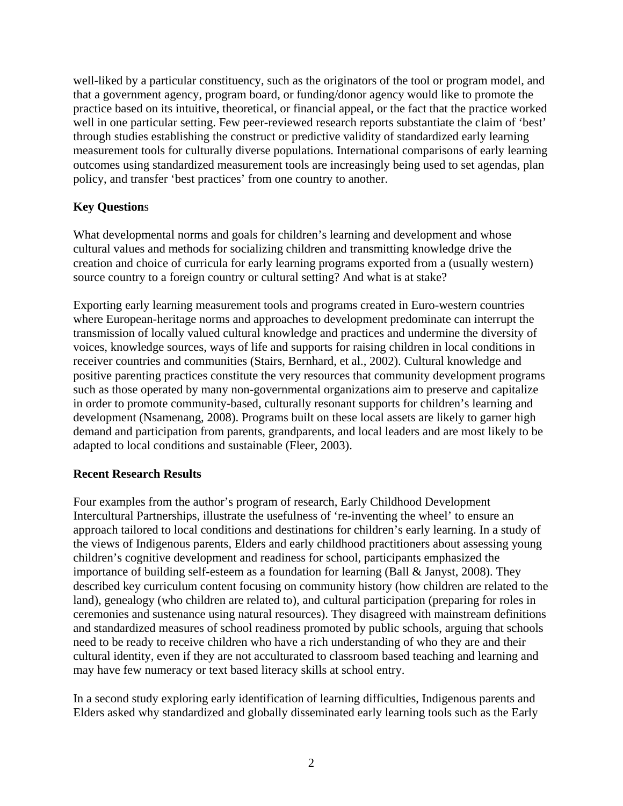well-liked by a particular constituency, such as the originators of the tool or program model, and that a government agency, program board, or funding/donor agency would like to promote the practice based on its intuitive, theoretical, or financial appeal, or the fact that the practice worked well in one particular setting. Few peer-reviewed research reports substantiate the claim of 'best' through studies establishing the construct or predictive validity of standardized early learning measurement tools for culturally diverse populations. International comparisons of early learning outcomes using standardized measurement tools are increasingly being used to set agendas, plan policy, and transfer 'best practices' from one country to another.

### **Key Question**s

What developmental norms and goals for children's learning and development and whose cultural values and methods for socializing children and transmitting knowledge drive the creation and choice of curricula for early learning programs exported from a (usually western) source country to a foreign country or cultural setting? And what is at stake?

Exporting early learning measurement tools and programs created in Euro-western countries where European-heritage norms and approaches to development predominate can interrupt the transmission of locally valued cultural knowledge and practices and undermine the diversity of voices, knowledge sources, ways of life and supports for raising children in local conditions in receiver countries and communities (Stairs, Bernhard, et al., 2002). Cultural knowledge and positive parenting practices constitute the very resources that community development programs such as those operated by many non-governmental organizations aim to preserve and capitalize in order to promote community-based, culturally resonant supports for children's learning and development (Nsamenang, 2008). Programs built on these local assets are likely to garner high demand and participation from parents, grandparents, and local leaders and are most likely to be adapted to local conditions and sustainable (Fleer, 2003).

#### **Recent Research Results**

Four examples from the author's program of research, Early Childhood Development Intercultural Partnerships, illustrate the usefulness of 're-inventing the wheel' to ensure an approach tailored to local conditions and destinations for children's early learning. In a study of the views of Indigenous parents, Elders and early childhood practitioners about assessing young children's cognitive development and readiness for school, participants emphasized the importance of building self-esteem as a foundation for learning (Ball & Janyst, 2008). They described key curriculum content focusing on community history (how children are related to the land), genealogy (who children are related to), and cultural participation (preparing for roles in ceremonies and sustenance using natural resources). They disagreed with mainstream definitions and standardized measures of school readiness promoted by public schools, arguing that schools need to be ready to receive children who have a rich understanding of who they are and their cultural identity, even if they are not acculturated to classroom based teaching and learning and may have few numeracy or text based literacy skills at school entry.

In a second study exploring early identification of learning difficulties, Indigenous parents and Elders asked why standardized and globally disseminated early learning tools such as the Early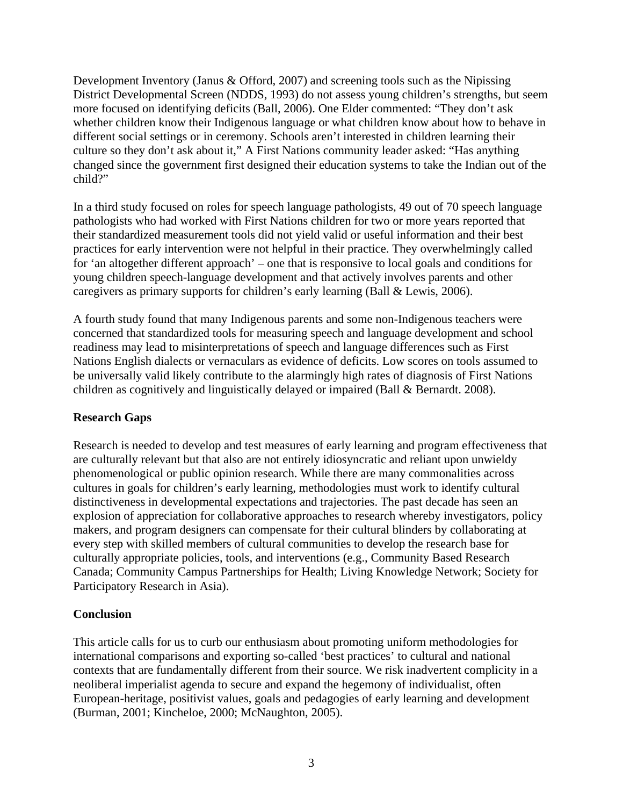Development Inventory (Janus & Offord, 2007) and screening tools such as the Nipissing District Developmental Screen (NDDS, 1993) do not assess young children's strengths, but seem more focused on identifying deficits (Ball, 2006). One Elder commented: "They don't ask whether children know their Indigenous language or what children know about how to behave in different social settings or in ceremony. Schools aren't interested in children learning their culture so they don't ask about it," A First Nations community leader asked: "Has anything changed since the government first designed their education systems to take the Indian out of the child?"

In a third study focused on roles for speech language pathologists, 49 out of 70 speech language pathologists who had worked with First Nations children for two or more years reported that their standardized measurement tools did not yield valid or useful information and their best practices for early intervention were not helpful in their practice. They overwhelmingly called for 'an altogether different approach' – one that is responsive to local goals and conditions for young children speech-language development and that actively involves parents and other caregivers as primary supports for children's early learning (Ball & Lewis, 2006).

A fourth study found that many Indigenous parents and some non-Indigenous teachers were concerned that standardized tools for measuring speech and language development and school readiness may lead to misinterpretations of speech and language differences such as First Nations English dialects or vernaculars as evidence of deficits. Low scores on tools assumed to be universally valid likely contribute to the alarmingly high rates of diagnosis of First Nations children as cognitively and linguistically delayed or impaired (Ball & Bernardt. 2008).

#### **Research Gaps**

Research is needed to develop and test measures of early learning and program effectiveness that are culturally relevant but that also are not entirely idiosyncratic and reliant upon unwieldy phenomenological or public opinion research. While there are many commonalities across cultures in goals for children's early learning, methodologies must work to identify cultural distinctiveness in developmental expectations and trajectories. The past decade has seen an explosion of appreciation for collaborative approaches to research whereby investigators, policy makers, and program designers can compensate for their cultural blinders by collaborating at every step with skilled members of cultural communities to develop the research base for culturally appropriate policies, tools, and interventions (e.g., Community Based Research Canada; Community Campus Partnerships for Health; Living Knowledge Network; Society for Participatory Research in Asia).

### **Conclusion**

This article calls for us to curb our enthusiasm about promoting uniform methodologies for international comparisons and exporting so-called 'best practices' to cultural and national contexts that are fundamentally different from their source. We risk inadvertent complicity in a neoliberal imperialist agenda to secure and expand the hegemony of individualist, often European-heritage, positivist values, goals and pedagogies of early learning and development (Burman, 2001; Kincheloe, 2000; McNaughton, 2005).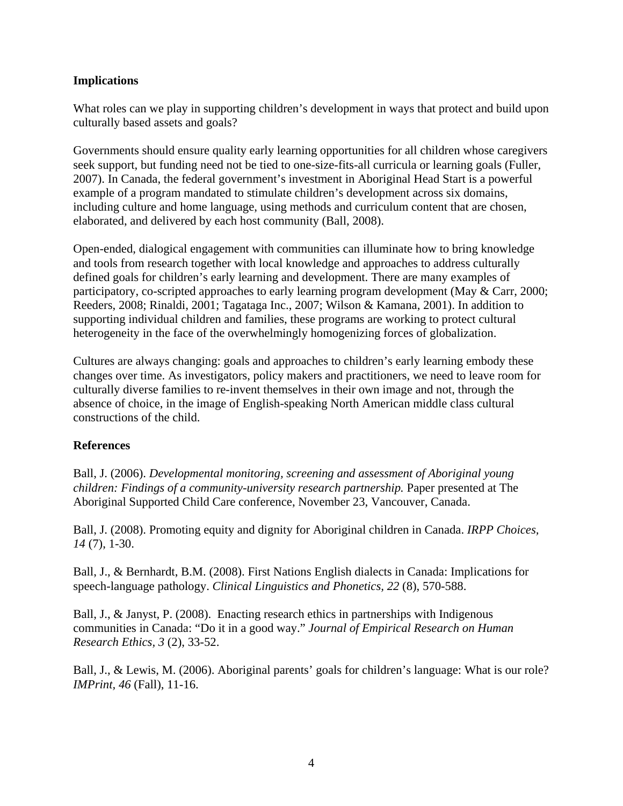#### **Implications**

What roles can we play in supporting children's development in ways that protect and build upon culturally based assets and goals?

Governments should ensure quality early learning opportunities for all children whose caregivers seek support, but funding need not be tied to one-size-fits-all curricula or learning goals (Fuller, 2007). In Canada, the federal government's investment in Aboriginal Head Start is a powerful example of a program mandated to stimulate children's development across six domains, including culture and home language, using methods and curriculum content that are chosen, elaborated, and delivered by each host community (Ball, 2008).

Open-ended, dialogical engagement with communities can illuminate how to bring knowledge and tools from research together with local knowledge and approaches to address culturally defined goals for children's early learning and development. There are many examples of participatory, co-scripted approaches to early learning program development (May & Carr, 2000; Reeders, 2008; Rinaldi, 2001; Tagataga Inc., 2007; Wilson & Kamana, 2001). In addition to supporting individual children and families, these programs are working to protect cultural heterogeneity in the face of the overwhelmingly homogenizing forces of globalization.

Cultures are always changing: goals and approaches to children's early learning embody these changes over time. As investigators, policy makers and practitioners, we need to leave room for culturally diverse families to re-invent themselves in their own image and not, through the absence of choice, in the image of English-speaking North American middle class cultural constructions of the child.

#### **References**

Ball, J. (2006). *Developmental monitoring, screening and assessment of Aboriginal young children: Findings of a community-university research partnership.* Paper presented at The Aboriginal Supported Child Care conference, November 23, Vancouver, Canada.

Ball, J. (2008). Promoting equity and dignity for Aboriginal children in Canada. *IRPP Choices, 14* (7), 1-30.

Ball, J., & Bernhardt, B.M. (2008). First Nations English dialects in Canada: Implications for speech-language pathology. *Clinical Linguistics and Phonetics, 22* (8), 570-588.

Ball, J., & Janyst, P. (2008). Enacting research ethics in partnerships with Indigenous communities in Canada: "Do it in a good way." *Journal of Empirical Research on Human Research Ethics, 3* (2), 33-52.

Ball, J., & Lewis, M. (2006). Aboriginal parents' goals for children's language: What is our role? *IMPrint, 46* (Fall), 11-16.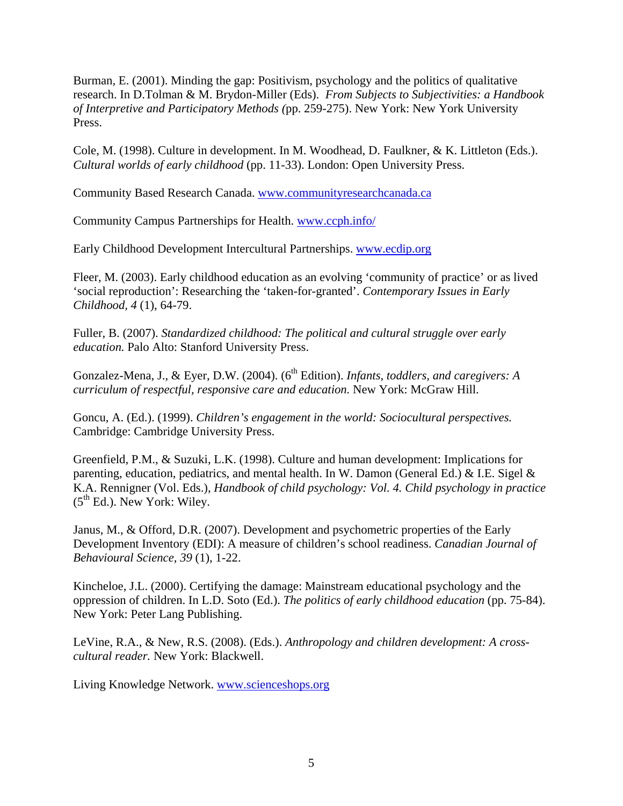Burman, E. (2001). Minding the gap: Positivism, psychology and the politics of qualitative research. In D.Tolman & M. Brydon-Miller (Eds). *From Subjects to Subjectivities: a Handbook of Interpretive and Participatory Methods (*pp. 259-275). New York: New York University Press.

Cole, M. (1998). Culture in development. In M. Woodhead, D. Faulkner, & K. Littleton (Eds.). *Cultural worlds of early childhood* (pp. 11-33). London: Open University Press.

Community Based Research Canada. www.communityresearchcanada.ca

Community Campus Partnerships for Health. www.ccph.info/

Early Childhood Development Intercultural Partnerships. www.ecdip.org

Fleer, M. (2003). Early childhood education as an evolving 'community of practice' or as lived 'social reproduction': Researching the 'taken-for-granted'. *Contemporary Issues in Early Childhood, 4* (1), 64-79.

Fuller, B. (2007). *Standardized childhood: The political and cultural struggle over early education.* Palo Alto: Stanford University Press.

Gonzalez-Mena, J., & Eyer, D.W. (2004). (6<sup>th</sup> Edition). *Infants, toddlers, and caregivers: A curriculum of respectful, responsive care and education.* New York: McGraw Hill.

Goncu, A. (Ed.). (1999). *Children's engagement in the world: Sociocultural perspectives.* Cambridge: Cambridge University Press.

Greenfield, P.M., & Suzuki, L.K. (1998). Culture and human development: Implications for parenting, education, pediatrics, and mental health. In W. Damon (General Ed.) & I.E. Sigel  $\&$ K.A. Rennigner (Vol. Eds.), *Handbook of child psychology: Vol. 4. Child psychology in practice*  $(5<sup>th</sup> Ed.)$ . New York: Wiley.

Janus, M., & Offord, D.R. (2007). Development and psychometric properties of the Early Development Inventory (EDI): A measure of children's school readiness. *Canadian Journal of Behavioural Science, 39* (1), 1-22.

Kincheloe, J.L. (2000). Certifying the damage: Mainstream educational psychology and the oppression of children. In L.D. Soto (Ed.). *The politics of early childhood education* (pp. 75-84). New York: Peter Lang Publishing.

LeVine, R.A., & New, R.S. (2008). (Eds.). *Anthropology and children development: A crosscultural reader.* New York: Blackwell.

Living Knowledge Network. www.scienceshops.org